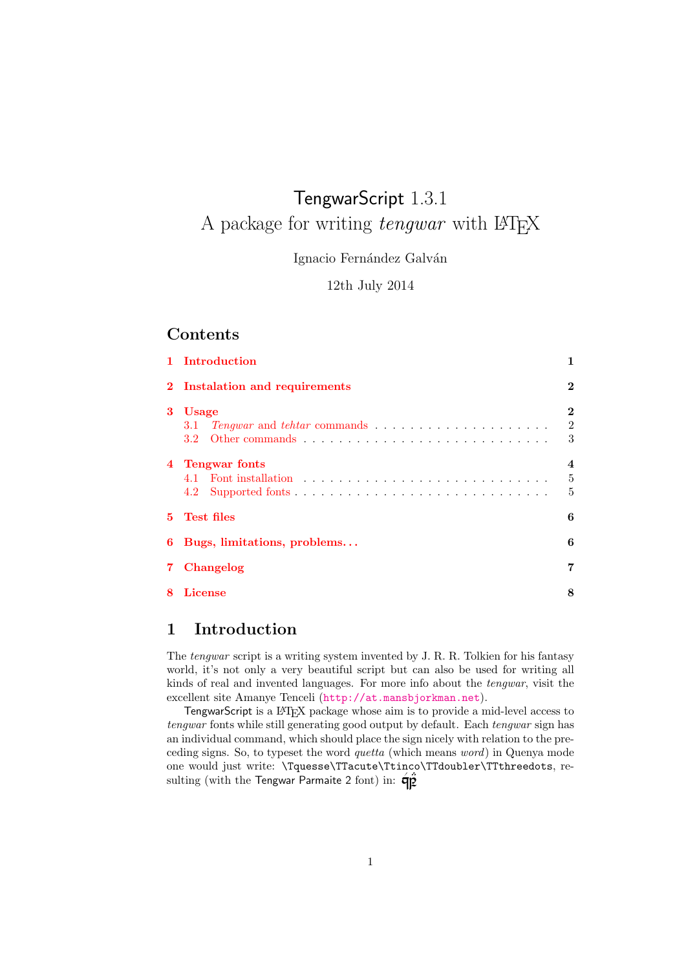# TengwarScript 1.3.1 A package for writing *tengwar* with LATEX

Ignacio Fernández Galván

12th July 2014

## Contents

|    | 1 Introduction                                                                                                                                  | 1                               |  |
|----|-------------------------------------------------------------------------------------------------------------------------------------------------|---------------------------------|--|
|    | 2 Instalation and requirements                                                                                                                  |                                 |  |
| 3  | <b>Usage</b><br>$Tengwar$ and $tehtar$ commands $\hfill\ldots\ldots\ldots\ldots\ldots\ldots\ldots\ldots\ldots\ldots$<br>3.1<br>3.2 <sub>1</sub> | $\bf{2}$<br>$\overline{2}$<br>3 |  |
| 4  | <b>Tengwar fonts</b><br>4.2                                                                                                                     | 4<br>5<br>5                     |  |
| 5. | <b>Test files</b><br>6                                                                                                                          |                                 |  |
| 6  | Bugs, limitations, problems                                                                                                                     |                                 |  |
| 7. | Changelog                                                                                                                                       |                                 |  |
| 8  | License                                                                                                                                         |                                 |  |

## <span id="page-0-0"></span>1 Introduction

The *tengwar* script is a writing system invented by J. R. R. Tolkien for his fantasy world, it's not only a very beautiful script but can also be used for writing all kinds of real and invented languages. For more info about the tengwar, visit the excellent site Amanye Tenceli (<http://at.mansbjorkman.net>).

TengwarScript is a LATEX package whose aim is to provide a mid-level access to tengwar fonts while still generating good output by default. Each tengwar sign has an individual command, which should place the sign nicely with relation to the preceding signs. So, to typeset the word quetta (which means word) in Quenya mode one would just write: \Tquesse\TTacute\Ttinco\TTdoubler\TTthreedots, resulting (with the Tengwar Parmaite 2 font) in:  $\mathbf{\hat{q}}\mathbf{\hat{p}}$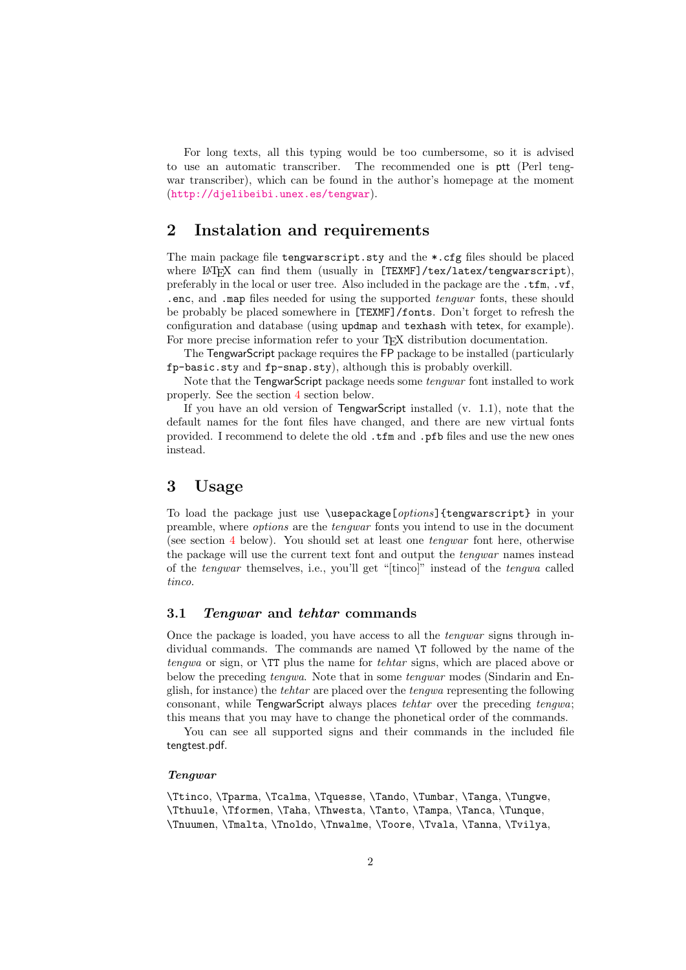For long texts, all this typing would be too cumbersome, so it is advised to use an automatic transcriber. The recommended one is ptt (Perl tengwar transcriber), which can be found in the author's homepage at the moment (<http://djelibeibi.unex.es/tengwar>).

## <span id="page-1-0"></span>2 Instalation and requirements

The main package file tengwarscript.sty and the \*.cfg files should be placed where LAT<sub>EX</sub> can find them (usually in [TEXMF]/tex/latex/tengwarscript), preferably in the local or user tree. Also included in the package are the .tfm, .vf, .enc, and .map files needed for using the supported tengwar fonts, these should be probably be placed somewhere in [TEXMF]/fonts. Don't forget to refresh the configuration and database (using updmap and texhash with tetex, for example). For more precise information refer to your T<sub>E</sub>X distribution documentation.

The TengwarScript package requires the FP package to be installed (particularly fp-basic.sty and fp-snap.sty), although this is probably overkill.

Note that the TengwarScript package needs some tengwar font installed to work properly. See the section [4](#page-3-0) section below.

If you have an old version of TengwarScript installed (v. 1.1), note that the default names for the font files have changed, and there are new virtual fonts provided. I recommend to delete the old .tfm and .pfb files and use the new ones instead.

## <span id="page-1-1"></span>3 Usage

To load the package just use \usepackage[options]{tengwarscript} in your preamble, where options are the tengwar fonts you intend to use in the document (see section [4](#page-3-0) below). You should set at least one tengwar font here, otherwise the package will use the current text font and output the tengwar names instead of the tengwar themselves, i.e., you'll get "[tinco]" instead of the tengwa called tinco.

#### <span id="page-1-2"></span>3.1 Tengwar and tehtar commands

Once the package is loaded, you have access to all the tengwar signs through individual commands. The commands are named \T followed by the name of the tengwa or sign, or \TT plus the name for tehtar signs, which are placed above or below the preceding tengwa. Note that in some tengwar modes (Sindarin and English, for instance) the tehtar are placed over the tengwa representing the following consonant, while TengwarScript always places tehtar over the preceding tengwa; this means that you may have to change the phonetical order of the commands.

You can see all supported signs and their commands in the included file tengtest.pdf.

#### Tengwar

\Ttinco, \Tparma, \Tcalma, \Tquesse, \Tando, \Tumbar, \Tanga, \Tungwe, \Tthuule, \Tformen, \Taha, \Thwesta, \Tanto, \Tampa, \Tanca, \Tunque, \Tnuumen, \Tmalta, \Tnoldo, \Tnwalme, \Toore, \Tvala, \Tanna, \Tvilya,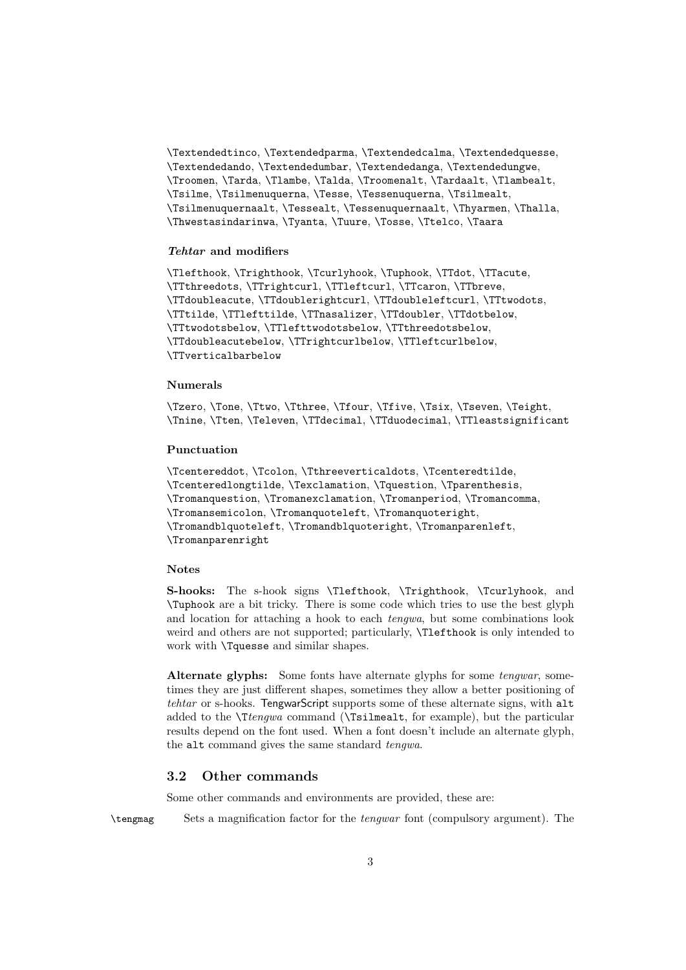\Textendedtinco, \Textendedparma, \Textendedcalma, \Textendedquesse, \Textendedando, \Textendedumbar, \Textendedanga, \Textendedungwe, \Troomen, \Tarda, \Tlambe, \Talda, \Troomenalt, \Tardaalt, \Tlambealt, \Tsilme, \Tsilmenuquerna, \Tesse, \Tessenuquerna, \Tsilmealt, \Tsilmenuquernaalt, \Tessealt, \Tessenuquernaalt, \Thyarmen, \Thalla, \Thwestasindarinwa, \Tyanta, \Tuure, \Tosse, \Ttelco, \Taara

#### Tehtar and modifiers

\Tlefthook, \Trighthook, \Tcurlyhook, \Tuphook, \TTdot, \TTacute, \TTthreedots, \TTrightcurl, \TTleftcurl, \TTcaron, \TTbreve, \TTdoubleacute, \TTdoublerightcurl, \TTdoubleleftcurl, \TTtwodots, \TTtilde, \TTlefttilde, \TTnasalizer, \TTdoubler, \TTdotbelow, \TTtwodotsbelow, \TTlefttwodotsbelow, \TTthreedotsbelow, \TTdoubleacutebelow, \TTrightcurlbelow, \TTleftcurlbelow, \TTverticalbarbelow

#### Numerals

\Tzero, \Tone, \Ttwo, \Tthree, \Tfour, \Tfive, \Tsix, \Tseven, \Teight, \Tnine, \Tten, \Televen, \TTdecimal, \TTduodecimal, \TTleastsignificant

#### Punctuation

\Tcentereddot, \Tcolon, \Tthreeverticaldots, \Tcenteredtilde, \Tcenteredlongtilde, \Texclamation, \Tquestion, \Tparenthesis, \Tromanquestion, \Tromanexclamation, \Tromanperiod, \Tromancomma, \Tromansemicolon, \Tromanquoteleft, \Tromanquoteright, \Tromandblquoteleft, \Tromandblquoteright, \Tromanparenleft, \Tromanparenright

#### Notes

S-hooks: The s-hook signs *\Tlefthook, \Trighthook, \Tcurlyhook, and* \Tuphook are a bit tricky. There is some code which tries to use the best glyph and location for attaching a hook to each tengwa, but some combinations look weird and others are not supported; particularly, \Tlefthook is only intended to work with \Tquesse and similar shapes.

Alternate glyphs: Some fonts have alternate glyphs for some *tengwar*, sometimes they are just different shapes, sometimes they allow a better positioning of tehtar or s-hooks. TengwarScript supports some of these alternate signs, with alt added to the \Ttengwa command (\Tsilmealt, for example), but the particular results depend on the font used. When a font doesn't include an alternate glyph, the alt command gives the same standard tengwa.

### <span id="page-2-0"></span>3.2 Other commands

Some other commands and environments are provided, these are:

\tengmag Sets a magnification factor for the tengwar font (compulsory argument). The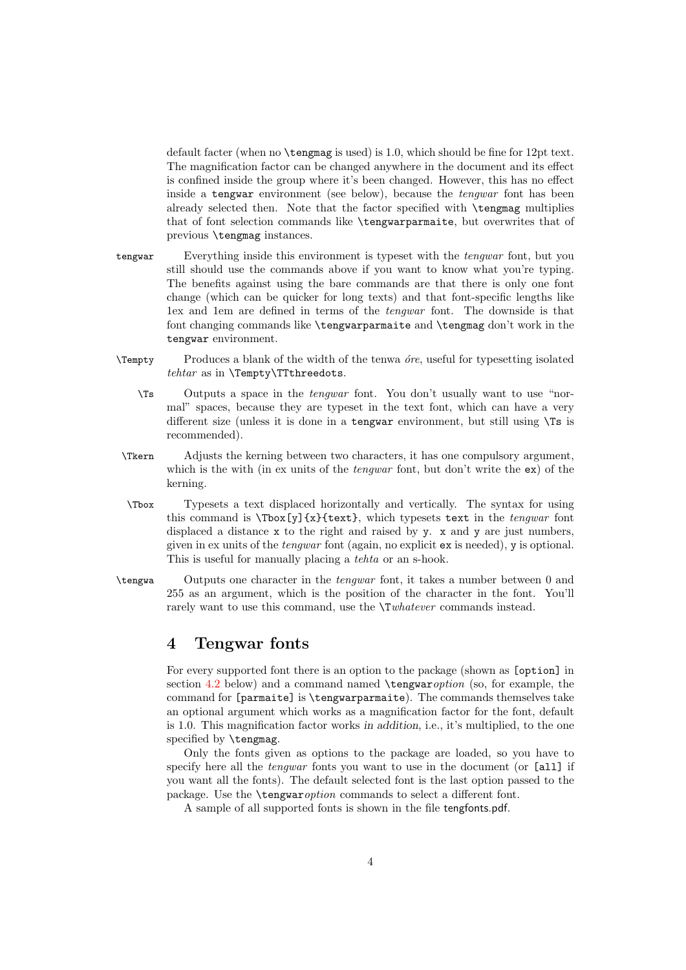default facter (when no \tengmag is used) is 1.0, which should be fine for 12pt text. The magnification factor can be changed anywhere in the document and its effect is confined inside the group where it's been changed. However, this has no effect inside a tengwar environment (see below), because the tengwar font has been already selected then. Note that the factor specified with \tengmag multiplies that of font selection commands like \tengwarparmaite, but overwrites that of previous \tengmag instances.

- tengwar Everything inside this environment is typeset with the *tengwar* font, but you still should use the commands above if you want to know what you're typing. The benefits against using the bare commands are that there is only one font change (which can be quicker for long texts) and that font-specific lengths like 1ex and 1em are defined in terms of the tengwar font. The downside is that font changing commands like \tengwarparmaite and \tengmag don't work in the tengwar environment.
- $\Upsilon$  Produces a blank of the width of the tenwa *ore*, useful for typesetting isolated tehtar as in \Tempty\TTthreedots.
	- \Ts Outputs a space in the tengwar font. You don't usually want to use "normal" spaces, because they are typeset in the text font, which can have a very different size (unless it is done in a tengwar environment, but still using \Ts is recommended).
- \Tkern Adjusts the kerning between two characters, it has one compulsory argument, which is the with (in ex units of the *tengwar* font, but don't write the  $ex$ ) of the kerning.
- \Tbox Typesets a text displaced horizontally and vertically. The syntax for using this command is  $\text{y}(x)\text{text}$ , which typesets text in the *tengwar* font displaced a distance x to the right and raised by y. x and y are just numbers, given in ex units of the tengwar font (again, no explicit ex is needed), y is optional. This is useful for manually placing a tehta or an s-hook.
- \tengwa Outputs one character in the tengwar font, it takes a number between 0 and 255 as an argument, which is the position of the character in the font. You'll rarely want to use this command, use the  $\Upsilon$ whatever commands instead.

## <span id="page-3-0"></span>4 Tengwar fonts

For every supported font there is an option to the package (shown as [option] in section [4.2](#page-4-1) below) and a command named  $\text{vary}$  (so, for example, the command for [parmaite] is \tengwarparmaite). The commands themselves take an optional argument which works as a magnification factor for the font, default is 1.0. This magnification factor works in addition, i.e., it's multiplied, to the one specified by **\tengmag**.

Only the fonts given as options to the package are loaded, so you have to specify here all the *tengwar* fonts you want to use in the document (or [all] if you want all the fonts). The default selected font is the last option passed to the package. Use the \tengwaroption commands to select a different font.

A sample of all supported fonts is shown in the file tengfonts.pdf.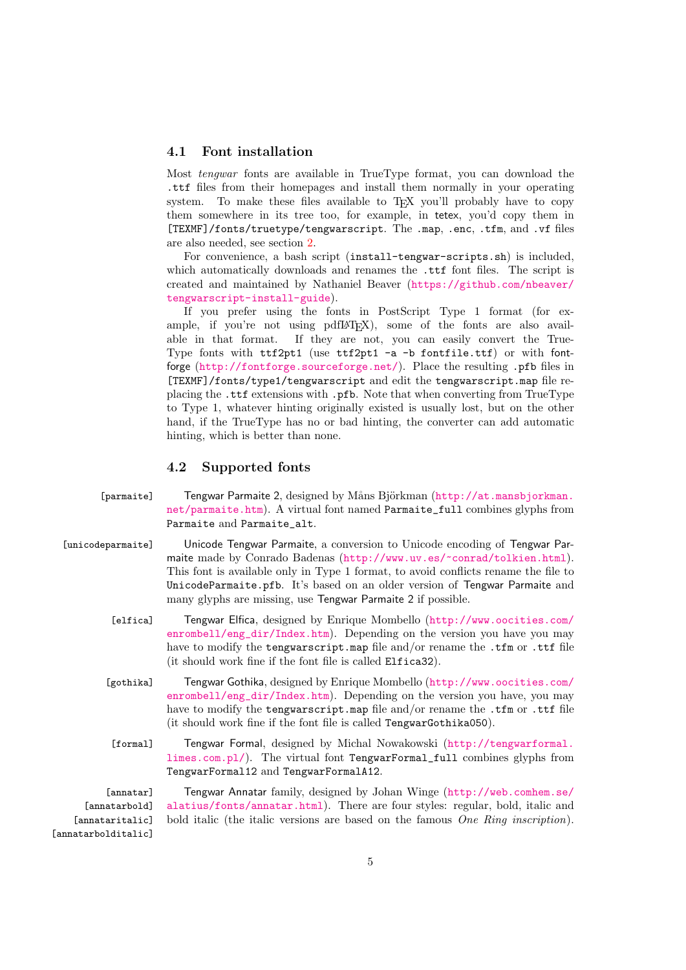#### <span id="page-4-0"></span>4.1 Font installation

Most tengwar fonts are available in TrueType format, you can download the .ttf files from their homepages and install them normally in your operating system. To make these files available to TFX you'll probably have to copy them somewhere in its tree too, for example, in tetex, you'd copy them in [TEXMF]/fonts/truetype/tengwarscript. The .map, .enc, .tfm, and .vf files are also needed, see section [2.](#page-1-0)

For convenience, a bash script (install-tengwar-scripts.sh) is included, which automatically downloads and renames the .ttf font files. The script is created and maintained by Nathaniel Beaver ([https://github.com/nbeaver/](https://github.com/nbeaver/tengwarscript-install-guide) [tengwarscript-install-guide](https://github.com/nbeaver/tengwarscript-install-guide)).

If you prefer using the fonts in PostScript Type 1 format (for example, if you're not using pdfL<sup>AT</sup>EX), some of the fonts are also available in that format. If they are not, you can easily convert the True-If they are not, you can easily convert the True-Type fonts with ttf2pt1 (use ttf2pt1 -a -b fontfile.ttf) or with fontforge (<http://fontforge.sourceforge.net/>). Place the resulting .pfb files in [TEXMF]/fonts/type1/tengwarscript and edit the tengwarscript.map file replacing the .ttf extensions with .pfb. Note that when converting from TrueType to Type 1, whatever hinting originally existed is usually lost, but on the other hand, if the TrueType has no or bad hinting, the converter can add automatic hinting, which is better than none.

#### <span id="page-4-1"></span>4.2 Supported fonts

[parmaite] Tengwar Parmaite 2, designed by Måns Björkman ([http://at.mansbjorkman.](http://at.mansbjorkman.net/parmaite.htm) [net/parmaite.htm](http://at.mansbjorkman.net/parmaite.htm)). A virtual font named Parmaite\_full combines glyphs from Parmaite and Parmaite\_alt.

- [unicodeparmaite] Unicode Tengwar Parmaite, a conversion to Unicode encoding of Tengwar Parmaite made by Conrado Badenas (<http://www.uv.es/~conrad/tolkien.html>). This font is available only in Type 1 format, to avoid conflicts rename the file to UnicodeParmaite.pfb. It's based on an older version of Tengwar Parmaite and many glyphs are missing, use Tengwar Parmaite 2 if possible.
	- [elfica] Tengwar Elfica, designed by Enrique Mombello ([http://www.oocities.com/](http://www.oocities.com/enrombell/eng_dir/Index.htm) [enrombell/eng\\_dir/Index.htm](http://www.oocities.com/enrombell/eng_dir/Index.htm)). Depending on the version you have you may have to modify the tengwarscript.map file and/or rename the .tfm or .ttf file (it should work fine if the font file is called Elfica32).
	- [gothika] Tengwar Gothika, designed by Enrique Mombello ([http://www.oocities.com/](http://www.oocities.com/enrombell/eng_dir/Index.htm) [enrombell/eng\\_dir/Index.htm](http://www.oocities.com/enrombell/eng_dir/Index.htm)). Depending on the version you have, you may have to modify the tengwarscript.map file and/or rename the .tfm or .ttf file (it should work fine if the font file is called TengwarGothika050).
		- [formal] Tengwar Formal, designed by Michal Nowakowski ([http://tengwarformal.](http://tengwarformal.limes.com.pl/) [limes.com.pl/](http://tengwarformal.limes.com.pl/)). The virtual font TengwarFormal\_full combines glyphs from TengwarFormal12 and TengwarFormalA12.

[annatar] [annatarbold] [annataritalic] [annatarbolditalic] Tengwar Annatar family, designed by Johan Winge ([http://web.comhem.se/](http://web.comhem.se/alatius/fonts/annatar.html) [alatius/fonts/annatar.html](http://web.comhem.se/alatius/fonts/annatar.html)). There are four styles: regular, bold, italic and bold italic (the italic versions are based on the famous One Ring inscription).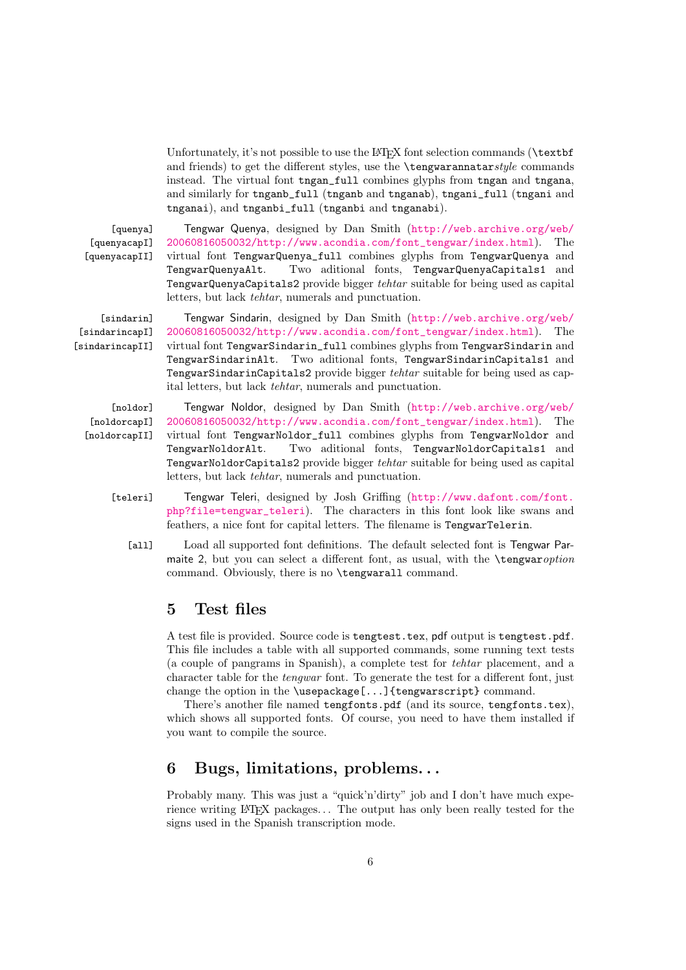Unfortunately, it's not possible to use the LAT<sub>E</sub>X font selection commands (\textbf and friends) to get the different styles, use the  $\text{te}$  rengwarannatarstyle commands instead. The virtual font tngan\_full combines glyphs from tngan and tngana, and similarly for tnganb\_full (tnganb and tnganab), tngani\_full (tngani and tnganai), and tnganbi\_full (tnganbi and tnganabi).

[quenya] [quenyacapI] [quenyacapII]

Tengwar Quenya, designed by Dan Smith ([http://web.archive.org/web/](http://web.archive.org/web/20060816050032/http://www.acondia.com/font_tengwar/index.html) [20060816050032/http://www.acondia.com/font\\_tengwar/index.html](http://web.archive.org/web/20060816050032/http://www.acondia.com/font_tengwar/index.html)). The virtual font TengwarQuenya\_full combines glyphs from TengwarQuenya and TengwarQuenyaAlt. Two aditional fonts, TengwarQuenyaCapitals1 and TengwarQuenyaCapitals2 provide bigger tehtar suitable for being used as capital letters, but lack tehtar, numerals and punctuation.

[sindarin] [sindarincapI] [sindarincapII]

Tengwar Sindarin, designed by Dan Smith ([http://web.archive.org/web/](http://web.archive.org/web/20060816050032/http://www.acondia.com/font_tengwar/index.html) [20060816050032/http://www.acondia.com/font\\_tengwar/index.html](http://web.archive.org/web/20060816050032/http://www.acondia.com/font_tengwar/index.html)). The virtual font TengwarSindarin\_full combines glyphs from TengwarSindarin and TengwarSindarinAlt. Two aditional fonts, TengwarSindarinCapitals1 and TengwarSindarinCapitals2 provide bigger tehtar suitable for being used as capital letters, but lack tehtar, numerals and punctuation.

- [noldor] [noldorcapI]
- [noldorcapII]

Tengwar Noldor, designed by Dan Smith ([http://web.archive.org/web/](http://web.archive.org/web/20060816050032/http://www.acondia.com/font_tengwar/index.html) [20060816050032/http://www.acondia.com/font\\_tengwar/index.html](http://web.archive.org/web/20060816050032/http://www.acondia.com/font_tengwar/index.html)). The virtual font TengwarNoldor\_full combines glyphs from TengwarNoldor and TengwarNoldorAlt. Two aditional fonts, TengwarNoldorCapitals1 and TengwarNoldorCapitals2 provide bigger tehtar suitable for being used as capital letters, but lack tehtar, numerals and punctuation.

- [teleri] Tengwar Teleri, designed by Josh Griffing ([http://www.dafont.com/font.](http://www.dafont.com/font.php?file=tengwar_teleri) [php?file=tengwar\\_teleri](http://www.dafont.com/font.php?file=tengwar_teleri)). The characters in this font look like swans and feathers, a nice font for capital letters. The filename is TengwarTelerin.
	- [all] Load all supported font definitions. The default selected font is Tengwar Parmaite 2, but you can select a different font, as usual, with the **\tengwar** option command. Obviously, there is no \tengwarall command.

## <span id="page-5-0"></span>5 Test files

A test file is provided. Source code is tengtest.tex, pdf output is tengtest.pdf. This file includes a table with all supported commands, some running text tests (a couple of pangrams in Spanish), a complete test for tehtar placement, and a character table for the tengwar font. To generate the test for a different font, just change the option in the \usepackage[...]{tengwarscript} command.

There's another file named tengfonts.pdf (and its source, tengfonts.tex), which shows all supported fonts. Of course, you need to have them installed if you want to compile the source.

## <span id="page-5-1"></span>6 Bugs, limitations, problems. . .

Probably many. This was just a "quick'n'dirty" job and I don't have much experience writing LAT<sub>E</sub>X packages... The output has only been really tested for the signs used in the Spanish transcription mode.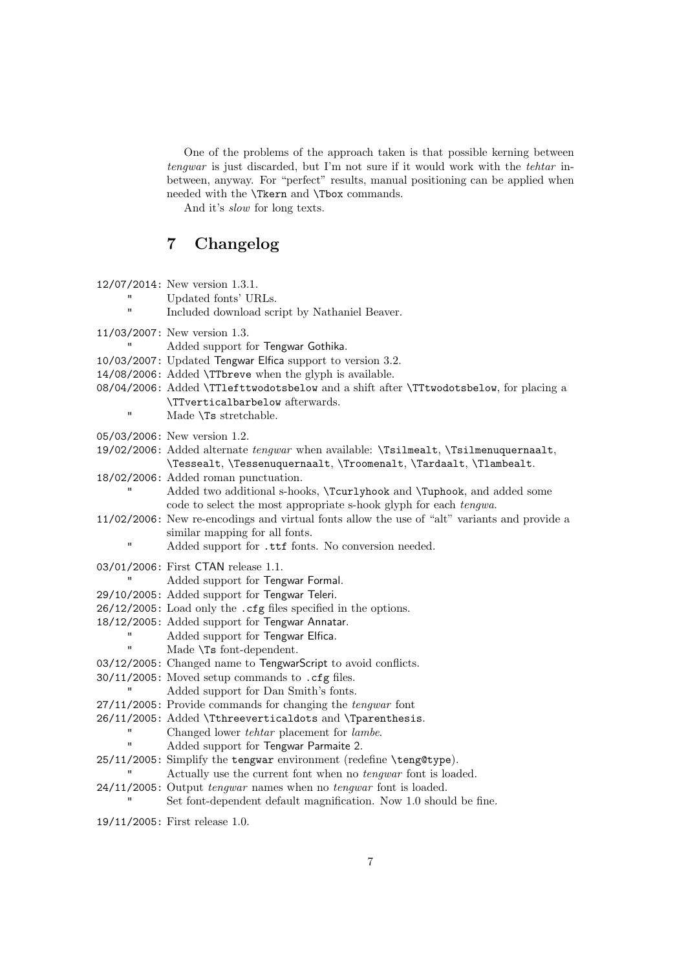One of the problems of the approach taken is that possible kerning between tengwar is just discarded, but I'm not sure if it would work with the tehtar inbetween, anyway. For "perfect" results, manual positioning can be applied when needed with the  $\$  from and  $\$  commands.

And it's slow for long texts.

## <span id="page-6-0"></span>7 Changelog

| $\blacksquare$ | 12/07/2014: New version 1.3.1.<br>Updated fonts' URLs.<br>Included download script by Nathaniel Beaver.                                                                                                                                                                                                                                                                                                                                                                                                                                                                                                                                                                                                                                                                                                                                                                                                                                                                                                          |
|----------------|------------------------------------------------------------------------------------------------------------------------------------------------------------------------------------------------------------------------------------------------------------------------------------------------------------------------------------------------------------------------------------------------------------------------------------------------------------------------------------------------------------------------------------------------------------------------------------------------------------------------------------------------------------------------------------------------------------------------------------------------------------------------------------------------------------------------------------------------------------------------------------------------------------------------------------------------------------------------------------------------------------------|
| п              | 11/03/2007: New version 1.3.<br>Added support for Tengwar Gothika.<br>10/03/2007: Updated Tengwar Elfica support to version 3.2.<br>14/08/2006: Added \TTbreve when the glyph is available.<br>08/04/2006: Added \TTlefttwodotsbelow and a shift after \TTtwodotsbelow, for placing a<br>\TTverticalbarbelow afterwards.<br>Made \Ts stretchable.                                                                                                                                                                                                                                                                                                                                                                                                                                                                                                                                                                                                                                                                |
|                | 05/03/2006: New version 1.2.<br>19/02/2006: Added alternate tengwar when available: \Tsilmealt, \Tsilmenuquernaalt,<br>\Tessealt, \Tessenuquernaalt, \Troomenalt, \Tardaalt, \Tlambealt.<br>18/02/2006: Added roman punctuation.<br>Added two additional s-hooks, \Tcurlyhook and \Tuphook, and added some                                                                                                                                                                                                                                                                                                                                                                                                                                                                                                                                                                                                                                                                                                       |
| Ħ              | code to select the most appropriate s-hook glyph for each tengwa.<br>11/02/2006: New re-encodings and virtual fonts allow the use of "alt" variants and provide a<br>similar mapping for all fonts.<br>Added support for .ttf fonts. No conversion needed.                                                                                                                                                                                                                                                                                                                                                                                                                                                                                                                                                                                                                                                                                                                                                       |
| Ħ<br>Ħ<br>П    | 03/01/2006: First CTAN release 1.1.<br>Added support for Tengwar Formal.<br>29/10/2005: Added support for Tengwar Teleri.<br>26/12/2005: Load only the .cfg files specified in the options.<br>18/12/2005: Added support for Tengwar Annatar.<br>Added support for Tengwar Elfica.<br>Made \Ts font-dependent.<br>03/12/2005: Changed name to TengwarScript to avoid conflicts.<br>30/11/2005: Moved setup commands to . cfg files.<br>Added support for Dan Smith's fonts.<br>27/11/2005: Provide commands for changing the tengwar font<br>26/11/2005: Added \Tthreeverticaldots and \Tparenthesis.<br>Changed lower <i>tehtar</i> placement for <i>lambe</i> .<br>Added support for Tengwar Parmaite 2.<br>25/11/2005: Simplify the tengwar environment (redefine \teng@type).<br>Actually use the current font when no <i>tengwar</i> font is loaded.<br>24/11/2005: Output <i>tengwar</i> names when no <i>tengwar</i> font is loaded.<br>Set font-dependent default magnification. Now 1.0 should be fine. |
|                | 19/11/2005: First release 1.0.                                                                                                                                                                                                                                                                                                                                                                                                                                                                                                                                                                                                                                                                                                                                                                                                                                                                                                                                                                                   |